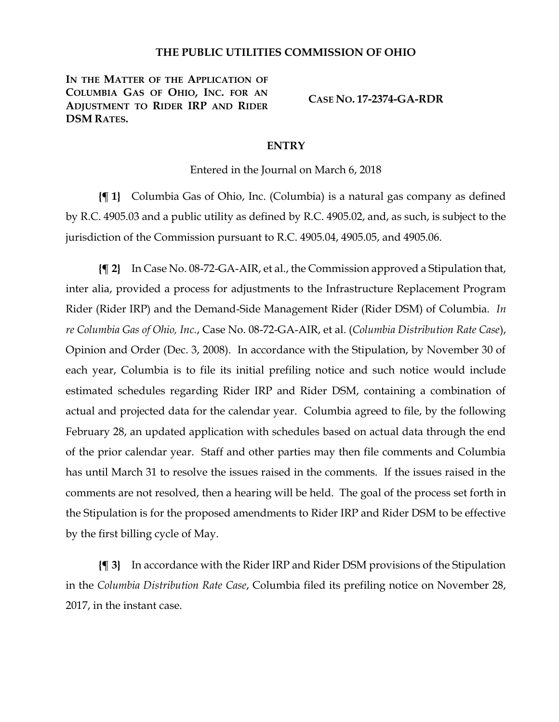## **THE PUBLIC UTILITIES COMMISSION OF OHIO**

**IN THE MATTER OF THE APPLICATION OF COLUMBIA GAS OF OHIO, INC. FOR AN ADJUSTMENT TO RIDER IRP AND RIDER DSM RATES.**

**CASE NO. 17-2374-GA-RDR**

## **ENTRY**

Entered in the Journal on March 6, 2018

**{¶ 1}** Columbia Gas of Ohio, Inc. (Columbia) is a natural gas company as defined by R.C. 4905.03 and a public utility as defined by R.C. 4905.02, and, as such, is subject to the jurisdiction of the Commission pursuant to R.C. 4905.04, 4905.05, and 4905.06.

**{¶ 2}** In Case No. 08-72-GA-AIR, et al., the Commission approved a Stipulation that, inter alia, provided a process for adjustments to the Infrastructure Replacement Program Rider (Rider IRP) and the Demand-Side Management Rider (Rider DSM) of Columbia. *In re Columbia Gas of Ohio, Inc.*, Case No. 08-72-GA-AIR, et al. (*Columbia Distribution Rate Case*), Opinion and Order (Dec. 3, 2008). In accordance with the Stipulation, by November 30 of each year, Columbia is to file its initial prefiling notice and such notice would include estimated schedules regarding Rider IRP and Rider DSM, containing a combination of actual and projected data for the calendar year. Columbia agreed to file, by the following February 28, an updated application with schedules based on actual data through the end of the prior calendar year. Staff and other parties may then file comments and Columbia has until March 31 to resolve the issues raised in the comments. If the issues raised in the comments are not resolved, then a hearing will be held. The goal of the process set forth in the Stipulation is for the proposed amendments to Rider IRP and Rider DSM to be effective by the first billing cycle of May.

**{¶ 3}** In accordance with the Rider IRP and Rider DSM provisions of the Stipulation in the *Columbia Distribution Rate Case*, Columbia filed its prefiling notice on November 28, 2017, in the instant case.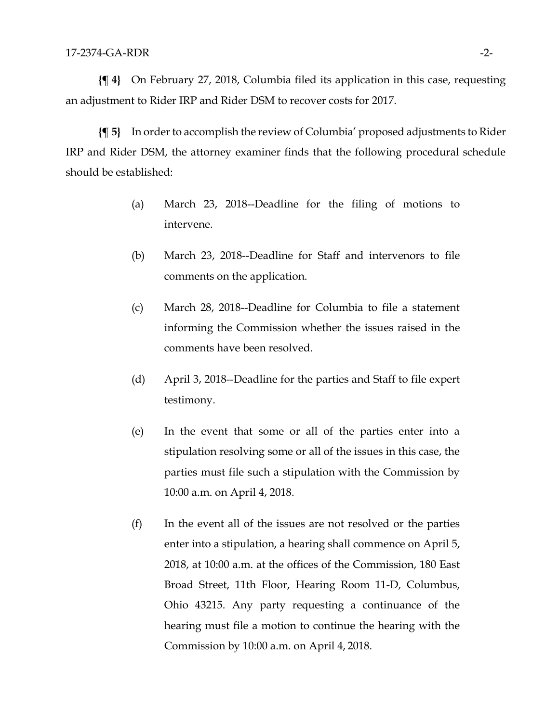**{¶ 4}** On February 27, 2018, Columbia filed its application in this case, requesting an adjustment to Rider IRP and Rider DSM to recover costs for 2017.

**{¶ 5}** In order to accomplish the review of Columbia' proposed adjustments to Rider IRP and Rider DSM, the attorney examiner finds that the following procedural schedule should be established:

- (a) March 23, 2018--Deadline for the filing of motions to intervene.
- (b) March 23, 2018--Deadline for Staff and intervenors to file comments on the application.
- (c) March 28, 2018--Deadline for Columbia to file a statement informing the Commission whether the issues raised in the comments have been resolved.
- (d) April 3, 2018--Deadline for the parties and Staff to file expert testimony.
- (e) In the event that some or all of the parties enter into a stipulation resolving some or all of the issues in this case, the parties must file such a stipulation with the Commission by 10:00 a.m. on April 4, 2018.
- (f) In the event all of the issues are not resolved or the parties enter into a stipulation, a hearing shall commence on April 5, 2018, at 10:00 a.m. at the offices of the Commission, 180 East Broad Street, 11th Floor, Hearing Room 11-D, Columbus, Ohio 43215. Any party requesting a continuance of the hearing must file a motion to continue the hearing with the Commission by 10:00 a.m. on April 4, 2018.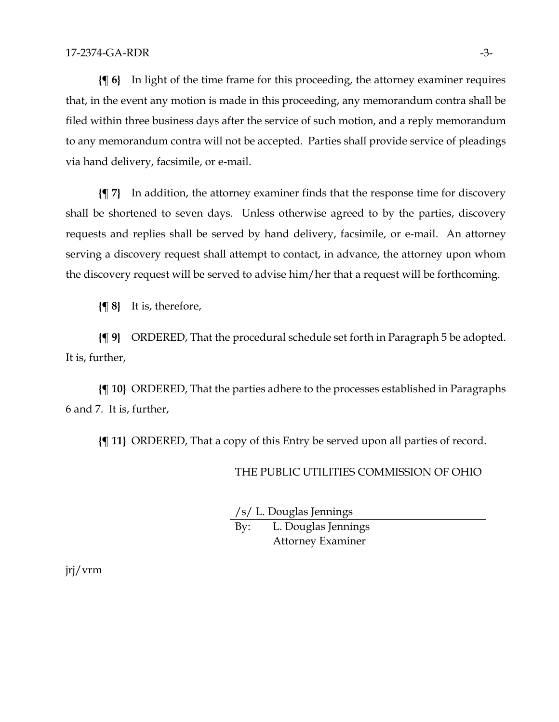**{¶ 6}** In light of the time frame for this proceeding, the attorney examiner requires that, in the event any motion is made in this proceeding, any memorandum contra shall be filed within three business days after the service of such motion, and a reply memorandum to any memorandum contra will not be accepted. Parties shall provide service of pleadings via hand delivery, facsimile, or e-mail.

**{¶ 7}** In addition, the attorney examiner finds that the response time for discovery shall be shortened to seven days. Unless otherwise agreed to by the parties, discovery requests and replies shall be served by hand delivery, facsimile, or e-mail. An attorney serving a discovery request shall attempt to contact, in advance, the attorney upon whom the discovery request will be served to advise him/her that a request will be forthcoming.

**{¶ 8}** It is, therefore,

**{¶ 9}** ORDERED, That the procedural schedule set forth in Paragraph 5 be adopted. It is, further,

**{¶ 10}** ORDERED, That the parties adhere to the processes established in Paragraphs 6 and 7. It is, further,

**{¶ 11}** ORDERED, That a copy of this Entry be served upon all parties of record.

## THE PUBLIC UTILITIES COMMISSION OF OHIO

/s/ L. Douglas Jennings

By: L. Douglas Jennings Attorney Examiner

jrj/vrm